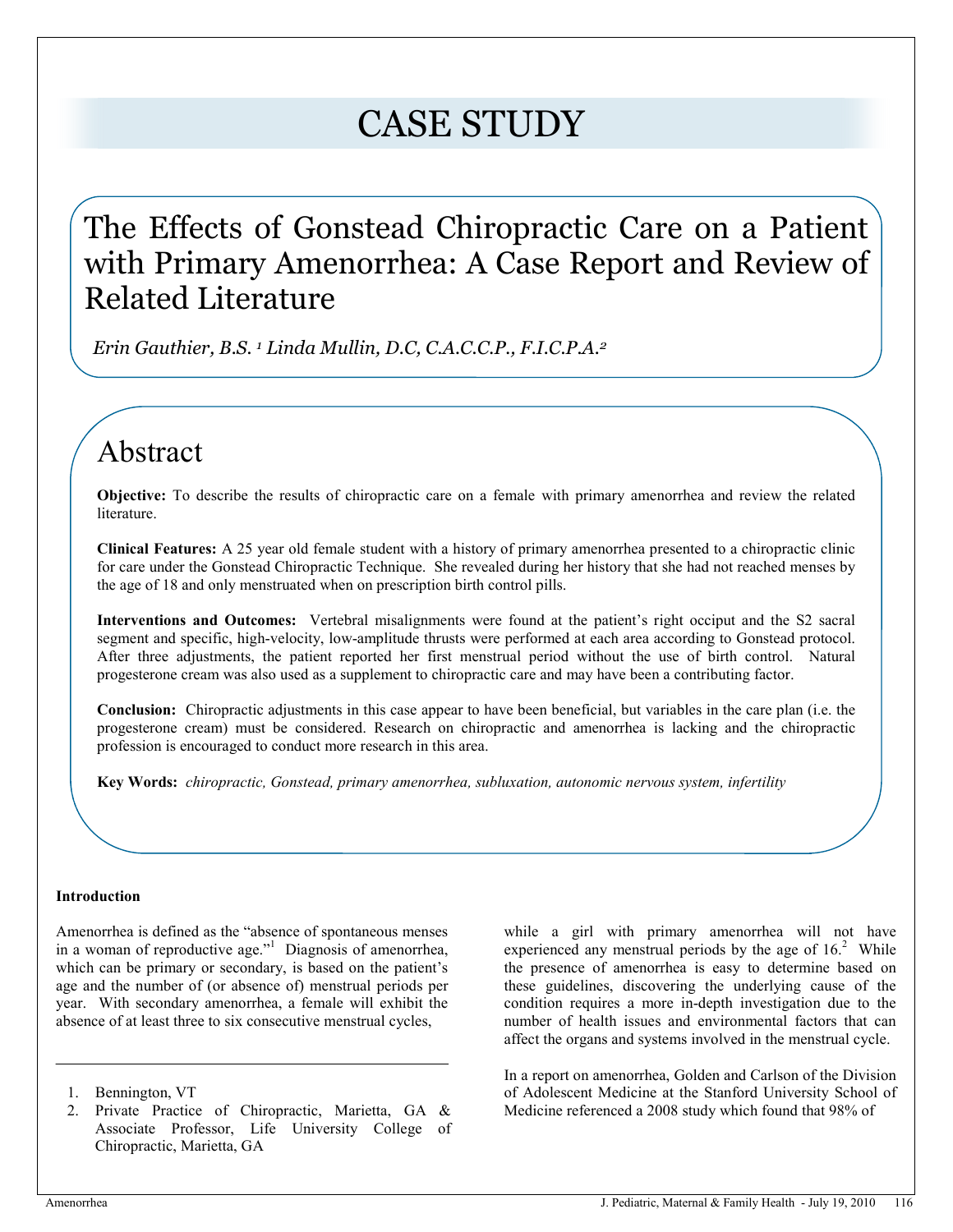# CASE STUDY

# The Effects of Gonstead Chiropractic Care on a Patient with Primary Amenorrhea: A Case Report and Review of Related Literature

 *Erin Gauthier, B.S. 1 Linda Mullin, D.C, C.A.C.C.P., F.I.C.P.A.2* 

# Abstract

**Objective:** To describe the results of chiropractic care on a female with primary amenorrhea and review the related literature.

**Clinical Features:** A 25 year old female student with a history of primary amenorrhea presented to a chiropractic clinic for care under the Gonstead Chiropractic Technique. She revealed during her history that she had not reached menses by the age of 18 and only menstruated when on prescription birth control pills.

**Interventions and Outcomes:**Vertebral misalignments were found at the patient's right occiput and the S2 sacral segment and specific, high-velocity, low-amplitude thrusts were performed at each area according to Gonstead protocol. After three adjustments, the patient reported her first menstrual period without the use of birth control. Natural progesterone cream was also used as a supplement to chiropractic care and may have been a contributing factor.

**Conclusion:**Chiropractic adjustments in this case appear to have been beneficial, but variables in the care plan (i.e. the progesterone cream) must be considered. Research on chiropractic and amenorrhea is lacking and the chiropractic profession is encouraged to conduct more research in this area.

**Key Words:** *chiropractic, Gonstead, primary amenorrhea, subluxation, autonomic nervous system, infertility* 

### **Introduction**

Amenorrhea is defined as the "absence of spontaneous menses in a woman of reproductive age."<sup>1</sup> Diagnosis of amenorrhea, which can be primary or secondary, is based on the patient's age and the number of (or absence of) menstrual periods per year. With secondary amenorrhea, a female will exhibit the absence of at least three to six consecutive menstrual cycles,

while a girl with primary amenorrhea will not have experienced any menstrual periods by the age of  $16<sup>2</sup>$  While the presence of amenorrhea is easy to determine based on these guidelines, discovering the underlying cause of the condition requires a more in-depth investigation due to the number of health issues and environmental factors that can affect the organs and systems involved in the menstrual cycle.

In a report on amenorrhea, Golden and Carlson of the Division of Adolescent Medicine at the Stanford University School of Medicine referenced a 2008 study which found that 98% of

<sup>1.</sup> Bennington, VT

<sup>2.</sup> Private Practice of Chiropractic, Marietta, GA & Associate Professor, Life University College of Chiropractic, Marietta, GA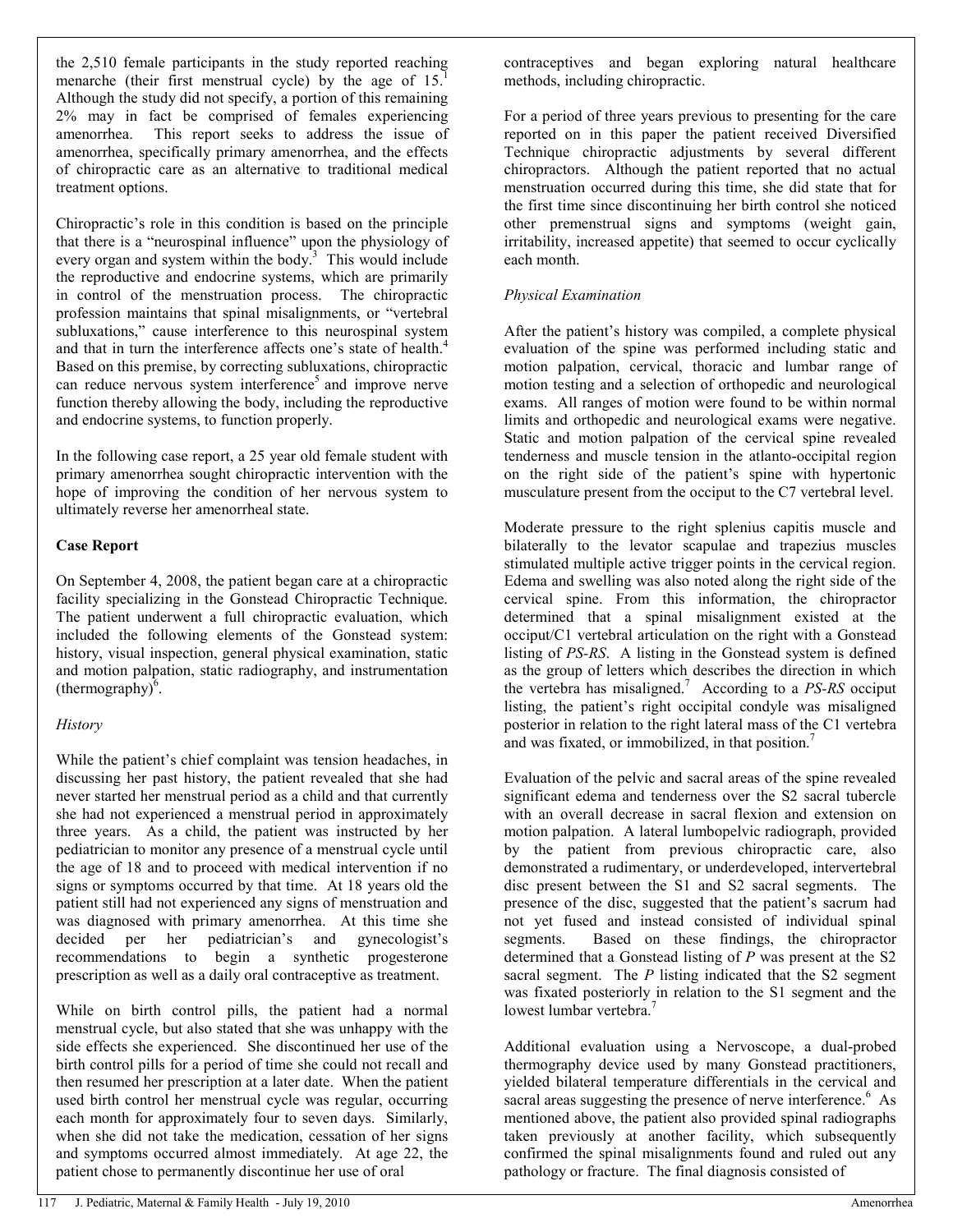the 2,510 female participants in the study reported reaching menarche (their first menstrual cycle) by the age of  $15<sup>1</sup>$ Although the study did not specify, a portion of this remaining 2% may in fact be comprised of females experiencing amenorrhea. This report seeks to address the issue of amenorrhea, specifically primary amenorrhea, and the effects of chiropractic care as an alternative to traditional medical treatment options.

Chiropractic's role in this condition is based on the principle that there is a "neurospinal influence" upon the physiology of every organ and system within the body. $3$  This would include the reproductive and endocrine systems, which are primarily in control of the menstruation process. The chiropractic profession maintains that spinal misalignments, or "vertebral subluxations," cause interference to this neurospinal system and that in turn the interference affects one's state of health.<sup>4</sup> Based on this premise, by correcting subluxations, chiropractic can reduce nervous system interference<sup>5</sup> and improve nerve function thereby allowing the body, including the reproductive and endocrine systems, to function properly.

In the following case report, a 25 year old female student with primary amenorrhea sought chiropractic intervention with the hope of improving the condition of her nervous system to ultimately reverse her amenorrheal state.

### **Case Report**

On September 4, 2008, the patient began care at a chiropractic facility specializing in the Gonstead Chiropractic Technique. The patient underwent a full chiropractic evaluation, which included the following elements of the Gonstead system: history, visual inspection, general physical examination, static and motion palpation, static radiography, and instrumentation  $(thermography)^6$ .

### *History*

While the patient's chief complaint was tension headaches, in discussing her past history, the patient revealed that she had never started her menstrual period as a child and that currently she had not experienced a menstrual period in approximately three years. As a child, the patient was instructed by her pediatrician to monitor any presence of a menstrual cycle until the age of 18 and to proceed with medical intervention if no signs or symptoms occurred by that time. At 18 years old the patient still had not experienced any signs of menstruation and was diagnosed with primary amenorrhea. At this time she decided per her pediatrician's and gynecologist's recommendations to begin a synthetic progesterone prescription as well as a daily oral contraceptive as treatment.

While on birth control pills, the patient had a normal menstrual cycle, but also stated that she was unhappy with the side effects she experienced. She discontinued her use of the birth control pills for a period of time she could not recall and then resumed her prescription at a later date. When the patient used birth control her menstrual cycle was regular, occurring each month for approximately four to seven days. Similarly, when she did not take the medication, cessation of her signs and symptoms occurred almost immediately. At age 22, the patient chose to permanently discontinue her use of oral

contraceptives and began exploring natural healthcare methods, including chiropractic.

For a period of three years previous to presenting for the care reported on in this paper the patient received Diversified Technique chiropractic adjustments by several different chiropractors. Although the patient reported that no actual menstruation occurred during this time, she did state that for the first time since discontinuing her birth control she noticed other premenstrual signs and symptoms (weight gain, irritability, increased appetite) that seemed to occur cyclically each month.

# *Physical Examination*

After the patient's history was compiled, a complete physical evaluation of the spine was performed including static and motion palpation, cervical, thoracic and lumbar range of motion testing and a selection of orthopedic and neurological exams. All ranges of motion were found to be within normal limits and orthopedic and neurological exams were negative. Static and motion palpation of the cervical spine revealed tenderness and muscle tension in the atlanto-occipital region on the right side of the patient's spine with hypertonic musculature present from the occiput to the C7 vertebral level.

Moderate pressure to the right splenius capitis muscle and bilaterally to the levator scapulae and trapezius muscles stimulated multiple active trigger points in the cervical region. Edema and swelling was also noted along the right side of the cervical spine. From this information, the chiropractor determined that a spinal misalignment existed at the occiput/C1 vertebral articulation on the right with a Gonstead listing of *PS-RS*. A listing in the Gonstead system is defined as the group of letters which describes the direction in which the vertebra has misaligned.<sup>7</sup> According to a *PS-RS* occiput listing, the patient's right occipital condyle was misaligned posterior in relation to the right lateral mass of the C1 vertebra and was fixated, or immobilized, in that position.<sup>7</sup>

Evaluation of the pelvic and sacral areas of the spine revealed significant edema and tenderness over the S2 sacral tubercle with an overall decrease in sacral flexion and extension on motion palpation. A lateral lumbopelvic radiograph, provided by the patient from previous chiropractic care, also demonstrated a rudimentary, or underdeveloped, intervertebral disc present between the S1 and S2 sacral segments. The presence of the disc, suggested that the patient's sacrum had not yet fused and instead consisted of individual spinal segments. Based on these findings, the chiropractor determined that a Gonstead listing of *P* was present at the S2 sacral segment. The *P* listing indicated that the S2 segment was fixated posteriorly in relation to the S1 segment and the lowest lumbar vertebra.<sup>7</sup>

Additional evaluation using a Nervoscope, a dual-probed thermography device used by many Gonstead practitioners, yielded bilateral temperature differentials in the cervical and sacral areas suggesting the presence of nerve interference.<sup>6</sup> As mentioned above, the patient also provided spinal radiographs taken previously at another facility, which subsequently confirmed the spinal misalignments found and ruled out any pathology or fracture. The final diagnosis consisted of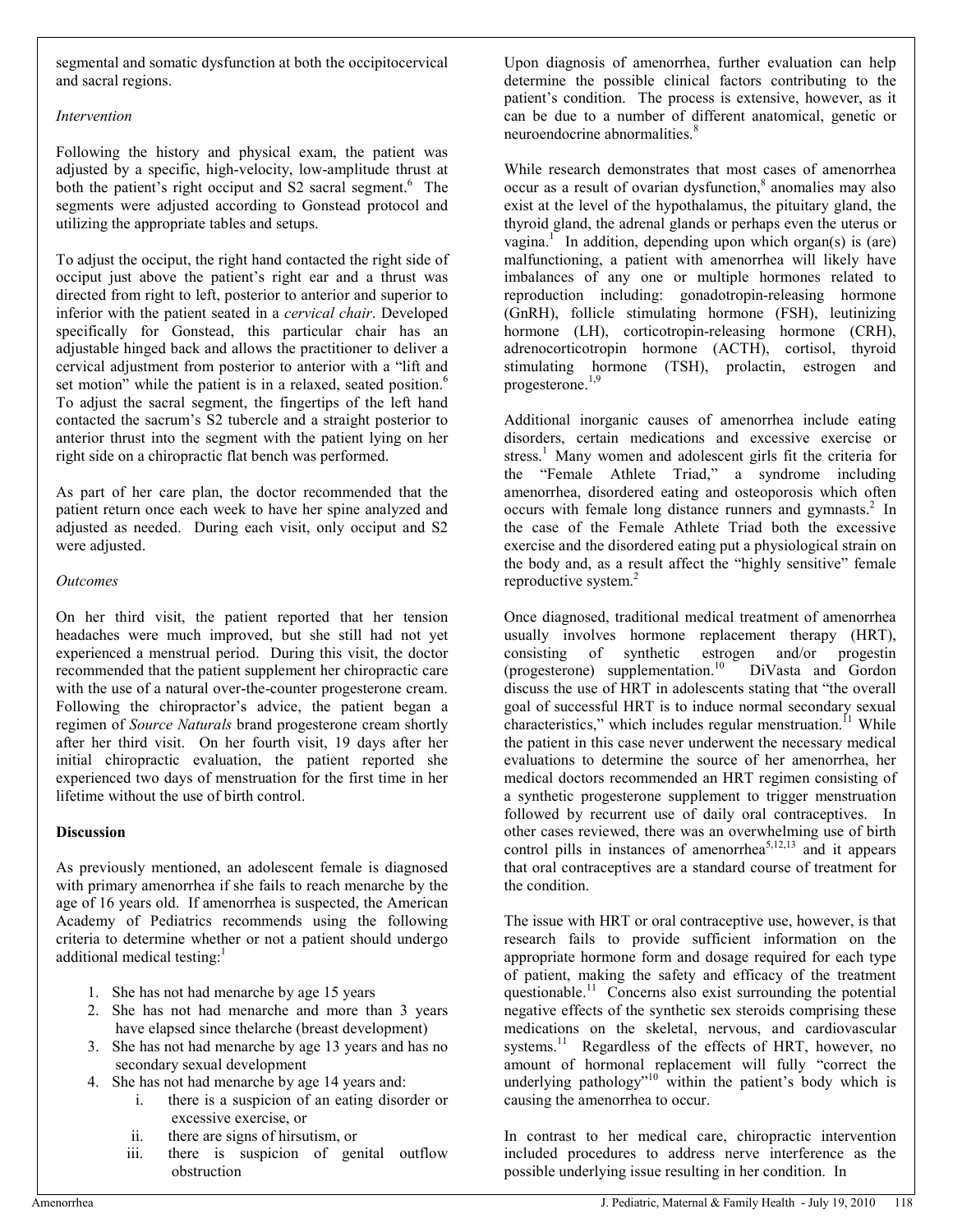segmental and somatic dysfunction at both the occipitocervical and sacral regions.

### *Intervention*

Following the history and physical exam, the patient was adjusted by a specific, high-velocity, low-amplitude thrust at both the patient's right occiput and S2 sacral segment.<sup>6</sup> The segments were adjusted according to Gonstead protocol and utilizing the appropriate tables and setups.

To adjust the occiput, the right hand contacted the right side of occiput just above the patient's right ear and a thrust was directed from right to left, posterior to anterior and superior to inferior with the patient seated in a *cervical chair*. Developed specifically for Gonstead, this particular chair has an adjustable hinged back and allows the practitioner to deliver a cervical adjustment from posterior to anterior with a "lift and set motion" while the patient is in a relaxed, seated position.<sup>6</sup> To adjust the sacral segment, the fingertips of the left hand contacted the sacrum's S2 tubercle and a straight posterior to anterior thrust into the segment with the patient lying on her right side on a chiropractic flat bench was performed.

As part of her care plan, the doctor recommended that the patient return once each week to have her spine analyzed and adjusted as needed. During each visit, only occiput and S2 were adjusted.

# *Outcomes*

On her third visit, the patient reported that her tension headaches were much improved, but she still had not yet experienced a menstrual period. During this visit, the doctor recommended that the patient supplement her chiropractic care with the use of a natural over-the-counter progesterone cream. Following the chiropractor's advice, the patient began a regimen of *Source Naturals* brand progesterone cream shortly after her third visit. On her fourth visit, 19 days after her initial chiropractic evaluation, the patient reported she experienced two days of menstruation for the first time in her lifetime without the use of birth control.

# **Discussion**

As previously mentioned, an adolescent female is diagnosed with primary amenorrhea if she fails to reach menarche by the age of 16 years old. If amenorrhea is suspected, the American Academy of Pediatrics recommends using the following criteria to determine whether or not a patient should undergo additional medical testing:<sup>1</sup>

- 1. She has not had menarche by age 15 years
- 2. She has not had menarche and more than 3 years have elapsed since thelarche (breast development)
- 3. She has not had menarche by age 13 years and has no secondary sexual development
- 4. She has not had menarche by age 14 years and:
	- i. there is a suspicion of an eating disorder or excessive exercise, or
	- ii. there are signs of hirsutism, or
	- iii. there is suspicion of genital outflow obstruction

Upon diagnosis of amenorrhea, further evaluation can help determine the possible clinical factors contributing to the patient's condition. The process is extensive, however, as it can be due to a number of different anatomical, genetic or neuroendocrine abnormalities.<sup>8</sup>

While research demonstrates that most cases of amenorrhea occur as a result of ovarian dysfunction,<sup>8</sup> anomalies may also exist at the level of the hypothalamus, the pituitary gland, the thyroid gland, the adrenal glands or perhaps even the uterus or vagina.<sup>1</sup> In addition, depending upon which organ(s) is (are) malfunctioning, a patient with amenorrhea will likely have imbalances of any one or multiple hormones related to reproduction including: gonadotropin-releasing hormone (GnRH), follicle stimulating hormone (FSH), leutinizing hormone (LH), corticotropin-releasing hormone (CRH), adrenocorticotropin hormone (ACTH), cortisol, thyroid stimulating hormone (TSH), prolactin, estrogen and progesterone.1,9

Additional inorganic causes of amenorrhea include eating disorders, certain medications and excessive exercise or stress.<sup>1</sup> Many women and adolescent girls fit the criteria for the "Female Athlete Triad," a syndrome including amenorrhea, disordered eating and osteoporosis which often occurs with female long distance runners and gymnasts.<sup>2</sup> In the case of the Female Athlete Triad both the excessive exercise and the disordered eating put a physiological strain on the body and, as a result affect the "highly sensitive" female reproductive system.<sup>2</sup>

Once diagnosed, traditional medical treatment of amenorrhea usually involves hormone replacement therapy (HRT), consisting of synthetic estrogen and/or progestin (progesterone) supplementation.<sup>10</sup> DiVasta and Gordon discuss the use of HRT in adolescents stating that "the overall goal of successful HRT is to induce normal secondary sexual characteristics," which includes regular menstruation. $11$  While the patient in this case never underwent the necessary medical evaluations to determine the source of her amenorrhea, her medical doctors recommended an HRT regimen consisting of a synthetic progesterone supplement to trigger menstruation followed by recurrent use of daily oral contraceptives. In other cases reviewed, there was an overwhelming use of birth control pills in instances of amenorrhea<sup>5,12,13</sup> and it appears that oral contraceptives are a standard course of treatment for the condition.

The issue with HRT or oral contraceptive use, however, is that research fails to provide sufficient information on the appropriate hormone form and dosage required for each type of patient, making the safety and efficacy of the treatment questionable.<sup>11</sup> Concerns also exist surrounding the potential negative effects of the synthetic sex steroids comprising these medications on the skeletal, nervous, and cardiovascular systems.<sup>11</sup> Regardless of the effects of HRT, however, no amount of hormonal replacement will fully "correct the underlying pathology<sup> $10$ </sup> within the patient's body which is causing the amenorrhea to occur.

In contrast to her medical care, chiropractic intervention included procedures to address nerve interference as the possible underlying issue resulting in her condition. In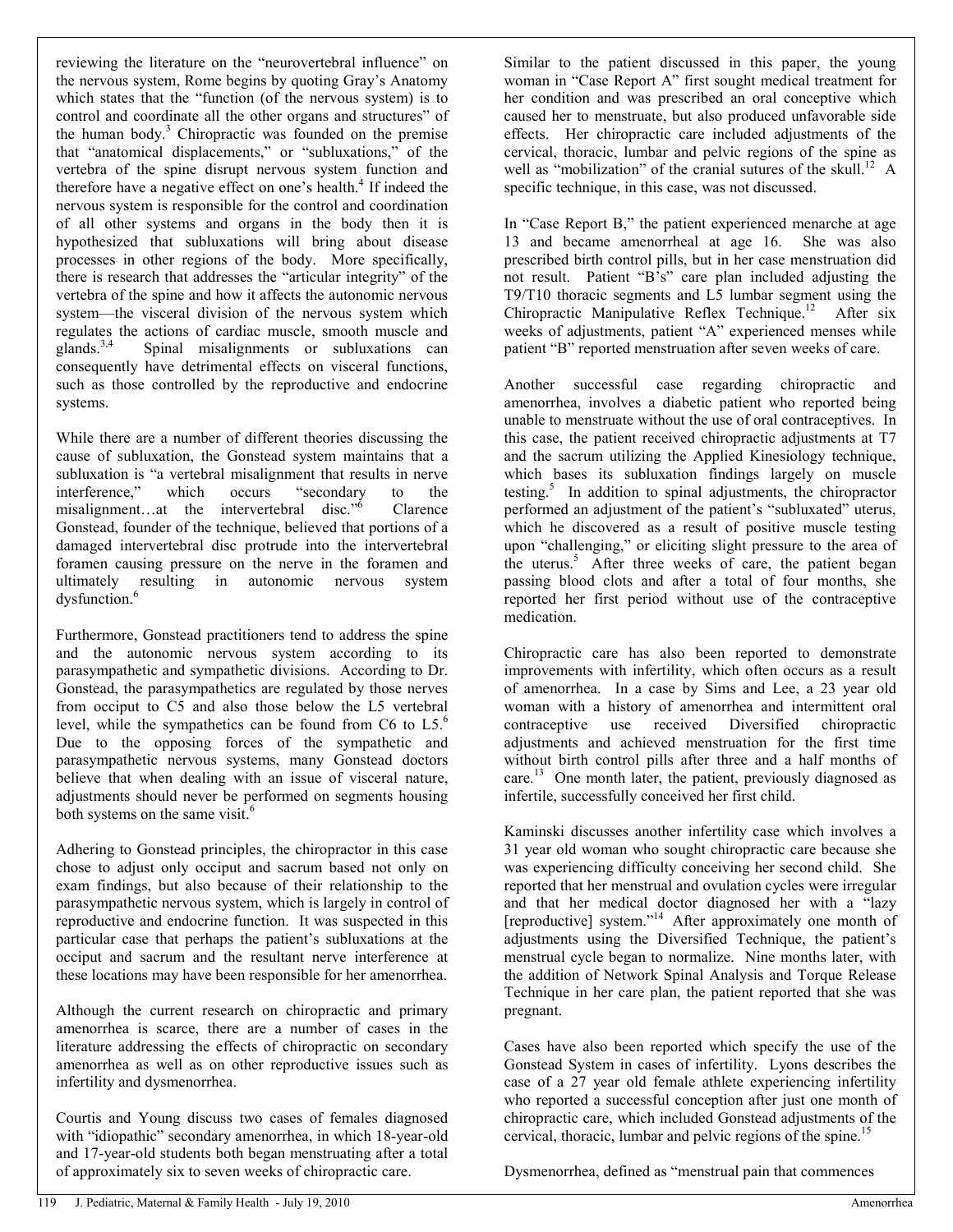reviewing the literature on the "neurovertebral influence" on the nervous system, Rome begins by quoting Gray's Anatomy which states that the "function (of the nervous system) is to control and coordinate all the other organs and structures" of the human body. $3$  Chiropractic was founded on the premise that "anatomical displacements," or "subluxations," of the vertebra of the spine disrupt nervous system function and therefore have a negative effect on one's health.<sup>4</sup> If indeed the nervous system is responsible for the control and coordination of all other systems and organs in the body then it is hypothesized that subluxations will bring about disease processes in other regions of the body. More specifically, there is research that addresses the "articular integrity" of the vertebra of the spine and how it affects the autonomic nervous system—the visceral division of the nervous system which regulates the actions of cardiac muscle, smooth muscle and glands.<sup>3,4</sup> Spinal misalignments or subluxations can consequently have detrimental effects on visceral functions, such as those controlled by the reproductive and endocrine systems.

While there are a number of different theories discussing the cause of subluxation, the Gonstead system maintains that a subluxation is "a vertebral misalignment that results in nerve interference," which occurs "secondary to the misalignment...at the intervertebral disc."<sup>6</sup> Clarence Gonstead, founder of the technique, believed that portions of a damaged intervertebral disc protrude into the intervertebral foramen causing pressure on the nerve in the foramen and ultimately resulting in autonomic nervous system dysfunction.<sup>6</sup>

Furthermore, Gonstead practitioners tend to address the spine and the autonomic nervous system according to its parasympathetic and sympathetic divisions. According to Dr. Gonstead, the parasympathetics are regulated by those nerves from occiput to C5 and also those below the L5 vertebral level, while the sympathetics can be found from C6 to  $L5$ .<sup>6</sup> Due to the opposing forces of the sympathetic and parasympathetic nervous systems, many Gonstead doctors believe that when dealing with an issue of visceral nature, adjustments should never be performed on segments housing both systems on the same visit.<sup>6</sup>

Adhering to Gonstead principles, the chiropractor in this case chose to adjust only occiput and sacrum based not only on exam findings, but also because of their relationship to the parasympathetic nervous system, which is largely in control of reproductive and endocrine function. It was suspected in this particular case that perhaps the patient's subluxations at the occiput and sacrum and the resultant nerve interference at these locations may have been responsible for her amenorrhea.

Although the current research on chiropractic and primary amenorrhea is scarce, there are a number of cases in the literature addressing the effects of chiropractic on secondary amenorrhea as well as on other reproductive issues such as infertility and dysmenorrhea.

Courtis and Young discuss two cases of females diagnosed with "idiopathic" secondary amenorrhea, in which 18-year-old and 17-year-old students both began menstruating after a total of approximately six to seven weeks of chiropractic care.

Similar to the patient discussed in this paper, the young woman in "Case Report A" first sought medical treatment for her condition and was prescribed an oral conceptive which caused her to menstruate, but also produced unfavorable side effects. Her chiropractic care included adjustments of the cervical, thoracic, lumbar and pelvic regions of the spine as well as "mobilization" of the cranial sutures of the skull.<sup>12</sup> A specific technique, in this case, was not discussed.

In "Case Report B," the patient experienced menarche at age 13 and became amenorrheal at age 16. She was also prescribed birth control pills, but in her case menstruation did not result. Patient "B's" care plan included adjusting the T9/T10 thoracic segments and L5 lumbar segment using the Chiropractic Manipulative Reflex Technique.12 After six weeks of adjustments, patient "A" experienced menses while patient "B" reported menstruation after seven weeks of care.

Another successful case regarding chiropractic and amenorrhea, involves a diabetic patient who reported being unable to menstruate without the use of oral contraceptives. In this case, the patient received chiropractic adjustments at T7 and the sacrum utilizing the Applied Kinesiology technique, which bases its subluxation findings largely on muscle testing.<sup>5</sup> In addition to spinal adjustments, the chiropractor performed an adjustment of the patient's "subluxated" uterus, which he discovered as a result of positive muscle testing upon "challenging," or eliciting slight pressure to the area of the uterus.<sup>5</sup> After three weeks of care, the patient began passing blood clots and after a total of four months, she reported her first period without use of the contraceptive medication.

Chiropractic care has also been reported to demonstrate improvements with infertility, which often occurs as a result of amenorrhea. In a case by Sims and Lee, a 23 year old woman with a history of amenorrhea and intermittent oral contraceptive use received Diversified chiropractic adjustments and achieved menstruation for the first time without birth control pills after three and a half months of care. $^{13}$  One month later, the patient, previously diagnosed as infertile, successfully conceived her first child.

Kaminski discusses another infertility case which involves a 31 year old woman who sought chiropractic care because she was experiencing difficulty conceiving her second child. She reported that her menstrual and ovulation cycles were irregular and that her medical doctor diagnosed her with a "lazy [reproductive] system."<sup>14</sup> After approximately one month of adjustments using the Diversified Technique, the patient's menstrual cycle began to normalize. Nine months later, with the addition of Network Spinal Analysis and Torque Release Technique in her care plan, the patient reported that she was pregnant.

Cases have also been reported which specify the use of the Gonstead System in cases of infertility. Lyons describes the case of a 27 year old female athlete experiencing infertility who reported a successful conception after just one month of chiropractic care, which included Gonstead adjustments of the cervical, thoracic, lumbar and pelvic regions of the spine.<sup>15</sup>

Dysmenorrhea, defined as "menstrual pain that commences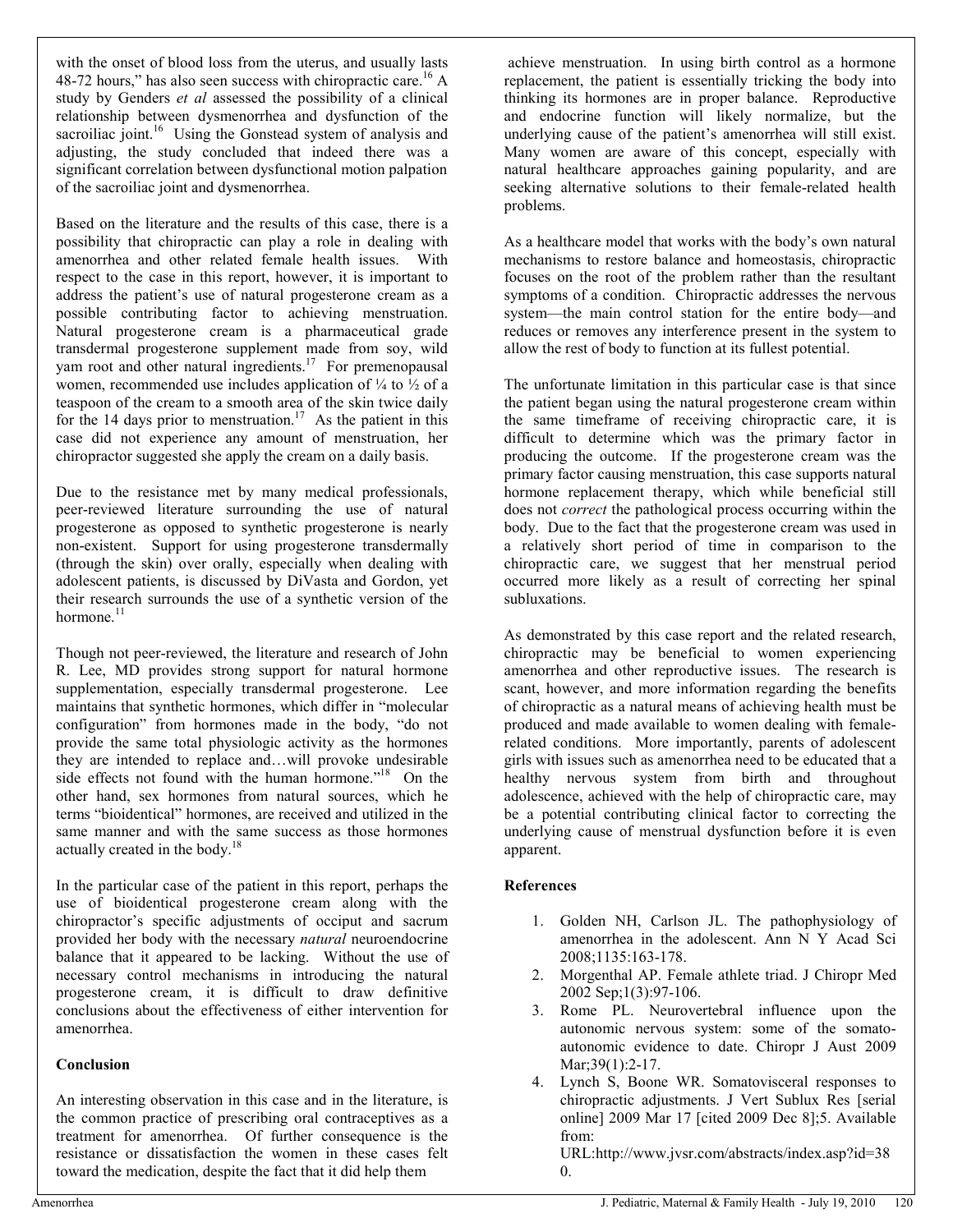with the onset of blood loss from the uterus, and usually lasts 48-72 hours," has also seen success with chiropractic care.<sup>16</sup> A study by Genders *et al* assessed the possibility of a clinical relationship between dysmenorrhea and dysfunction of the sacroiliac joint.<sup>16</sup> Using the Gonstead system of analysis and adjusting, the study concluded that indeed there was a significant correlation between dysfunctional motion palpation of the sacroiliac joint and dysmenorrhea.

Based on the literature and the results of this case, there is a possibility that chiropractic can play a role in dealing with amenorrhea and other related female health issues. With respect to the case in this report, however, it is important to address the patient's use of natural progesterone cream as a possible contributing factor to achieving menstruation. Natural progesterone cream is a pharmaceutical grade transdermal progesterone supplement made from soy, wild yam root and other natural ingredients.<sup>17</sup> For premenopausal women, recommended use includes application of  $\frac{1}{4}$  to  $\frac{1}{2}$  of a teaspoon of the cream to a smooth area of the skin twice daily for the 14 days prior to menstruation.<sup>17</sup> As the patient in this case did not experience any amount of menstruation, her chiropractor suggested she apply the cream on a daily basis.

Due to the resistance met by many medical professionals, peer-reviewed literature surrounding the use of natural progesterone as opposed to synthetic progesterone is nearly non-existent. Support for using progesterone transdermally (through the skin) over orally, especially when dealing with adolescent patients, is discussed by DiVasta and Gordon, yet their research surrounds the use of a synthetic version of the hormone.<sup>11</sup>

Though not peer-reviewed, the literature and research of John R. Lee, MD provides strong support for natural hormone supplementation, especially transdermal progesterone. Lee maintains that synthetic hormones, which differ in "molecular configuration" from hormones made in the body, "do not provide the same total physiologic activity as the hormones they are intended to replace and…will provoke undesirable side effects not found with the human hormone."<sup>18</sup> On the other hand, sex hormones from natural sources, which he terms "bioidentical" hormones, are received and utilized in the same manner and with the same success as those hormones actually created in the body. $18$ 

In the particular case of the patient in this report, perhaps the use of bioidentical progesterone cream along with the chiropractor's specific adjustments of occiput and sacrum provided her body with the necessary *natural* neuroendocrine balance that it appeared to be lacking. Without the use of necessary control mechanisms in introducing the natural progesterone cream, it is difficult to draw definitive conclusions about the effectiveness of either intervention for amenorrhea.

### **Conclusion**

An interesting observation in this case and in the literature, is the common practice of prescribing oral contraceptives as a treatment for amenorrhea. Of further consequence is the resistance or dissatisfaction the women in these cases felt toward the medication, despite the fact that it did help them

 achieve menstruation. In using birth control as a hormone replacement, the patient is essentially tricking the body into thinking its hormones are in proper balance. Reproductive and endocrine function will likely normalize, but the underlying cause of the patient's amenorrhea will still exist. Many women are aware of this concept, especially with natural healthcare approaches gaining popularity, and are seeking alternative solutions to their female-related health problems.

As a healthcare model that works with the body's own natural mechanisms to restore balance and homeostasis, chiropractic focuses on the root of the problem rather than the resultant symptoms of a condition. Chiropractic addresses the nervous system—the main control station for the entire body—and reduces or removes any interference present in the system to allow the rest of body to function at its fullest potential.

The unfortunate limitation in this particular case is that since the patient began using the natural progesterone cream within the same timeframe of receiving chiropractic care, it is difficult to determine which was the primary factor in producing the outcome. If the progesterone cream was the primary factor causing menstruation, this case supports natural hormone replacement therapy, which while beneficial still does not *correct* the pathological process occurring within the body. Due to the fact that the progesterone cream was used in a relatively short period of time in comparison to the chiropractic care, we suggest that her menstrual period occurred more likely as a result of correcting her spinal subluxations.

As demonstrated by this case report and the related research, chiropractic may be beneficial to women experiencing amenorrhea and other reproductive issues. The research is scant, however, and more information regarding the benefits of chiropractic as a natural means of achieving health must be produced and made available to women dealing with femalerelated conditions. More importantly, parents of adolescent girls with issues such as amenorrhea need to be educated that a healthy nervous system from birth and throughout adolescence, achieved with the help of chiropractic care, may be a potential contributing clinical factor to correcting the underlying cause of menstrual dysfunction before it is even apparent.

### **References**

- 1. Golden NH, Carlson JL. The pathophysiology of amenorrhea in the adolescent. Ann N Y Acad Sci 2008;1135:163-178.
- 2. Morgenthal AP. Female athlete triad. J Chiropr Med 2002 Sep;1(3):97-106.
- 3. Rome PL. Neurovertebral influence upon the autonomic nervous system: some of the somatoautonomic evidence to date. Chiropr J Aust 2009 Mar; 39(1): 2-17.
- 4. Lynch S, Boone WR. Somatovisceral responses to chiropractic adjustments. J Vert Sublux Res [serial online] 2009 Mar 17 [cited 2009 Dec 8];5. Available from:

URL:http://www.jvsr.com/abstracts/index.asp?id=38 0.